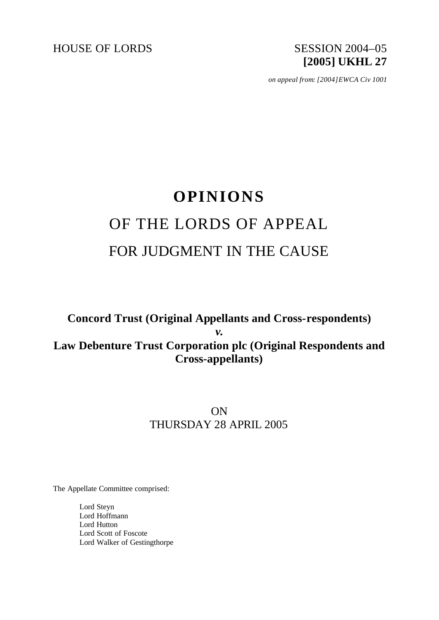HOUSE OF LORDS SESSION 2004-05

# **[2005] UKHL 27**

*on appeal from: [2004]EWCA Civ 1001*

## **OPINIONS** OF THE LORDS OF APPEAL FOR JUDGMENT IN THE CAUSE

### **Concord Trust (Original Appellants and Cross-respondents)** *v.* **Law Debenture Trust Corporation plc (Original Respondents and Cross-appellants)**

## ON THURSDAY 28 APRIL 2005

The Appellate Committee comprised:

Lord Steyn Lord Hoffmann Lord Hutton Lord Scott of Foscote Lord Walker of Gestingthorpe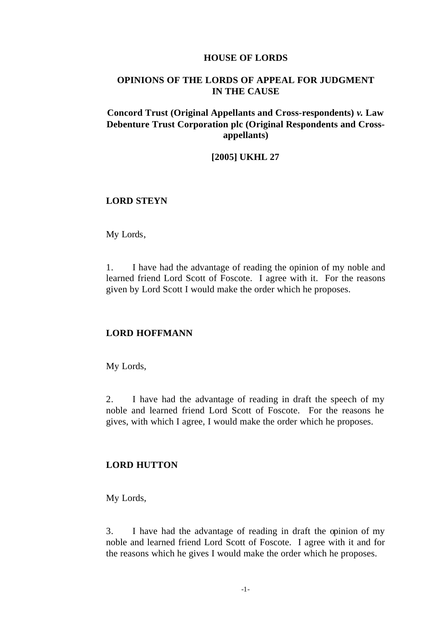#### **HOUSE OF LORDS**

#### **OPINIONS OF THE LORDS OF APPEAL FOR JUDGMENT IN THE CAUSE**

#### **Concord Trust (Original Appellants and Cross-respondents)** *v.* **Law Debenture Trust Corporation plc (Original Respondents and Crossappellants)**

#### **[2005] UKHL 27**

#### **LORD STEYN**

My Lords,

1. I have had the advantage of reading the opinion of my noble and learned friend Lord Scott of Foscote. I agree with it. For the reasons given by Lord Scott I would make the order which he proposes.

#### **LORD HOFFMANN**

My Lords,

2. I have had the advantage of reading in draft the speech of my noble and learned friend Lord Scott of Foscote. For the reasons he gives, with which I agree, I would make the order which he proposes.

#### **LORD HUTTON**

My Lords,

3. I have had the advantage of reading in draft the opinion of my noble and learned friend Lord Scott of Foscote. I agree with it and for the reasons which he gives I would make the order which he proposes.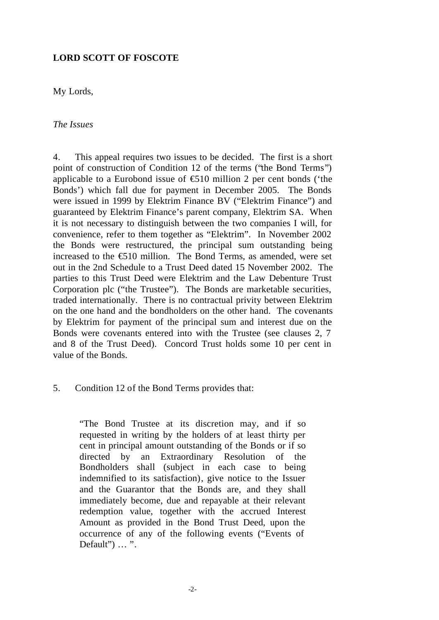#### **LORD SCOTT OF FOSCOTE**

My Lords,

*The Issues*

4. This appeal requires two issues to be decided. The first is a short point of construction of Condition 12 of the terms ("the Bond Terms") applicable to a Eurobond issue of  $\bigoplus$ 10 million 2 per cent bonds ('the Bonds') which fall due for payment in December 2005. The Bonds were issued in 1999 by Elektrim Finance BV ("Elektrim Finance") and guaranteed by Elektrim Finance's parent company, Elektrim SA. When it is not necessary to distinguish between the two companies I will, for convenience, refer to them together as "Elektrim". In November 2002 the Bonds were restructured, the principal sum outstanding being increased to the  $\epsilon$ 510 million. The Bond Terms, as amended, were set out in the 2nd Schedule to a Trust Deed dated 15 November 2002. The parties to this Trust Deed were Elektrim and the Law Debenture Trust Corporation plc ("the Trustee"). The Bonds are marketable securities, traded internationally. There is no contractual privity between Elektrim on the one hand and the bondholders on the other hand. The covenants by Elektrim for payment of the principal sum and interest due on the Bonds were covenants entered into with the Trustee (see clauses 2, 7 and 8 of the Trust Deed). Concord Trust holds some 10 per cent in value of the Bonds.

#### 5. Condition 12 of the Bond Terms provides that:

"The Bond Trustee at its discretion may, and if so requested in writing by the holders of at least thirty per cent in principal amount outstanding of the Bonds or if so directed by an Extraordinary Resolution of the Bondholders shall (subject in each case to being indemnified to its satisfaction), give notice to the Issuer and the Guarantor that the Bonds are, and they shall immediately become, due and repayable at their relevant redemption value, together with the accrued Interest Amount as provided in the Bond Trust Deed, upon the occurrence of any of the following events ("Events of Default") ... ".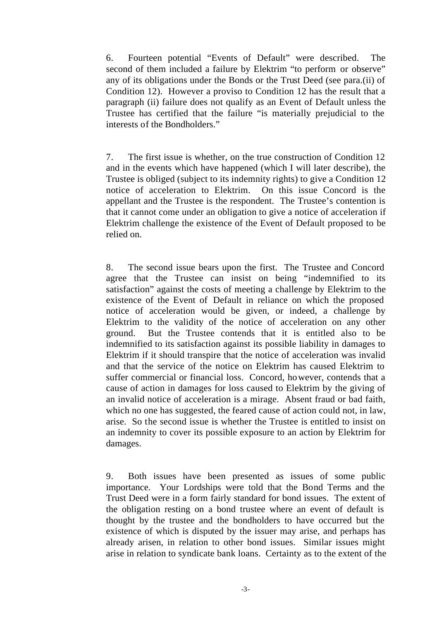6. Fourteen potential "Events of Default" were described. The second of them included a failure by Elektrim "to perform or observe" any of its obligations under the Bonds or the Trust Deed (see para.(ii) of Condition 12). However a proviso to Condition 12 has the result that a paragraph (ii) failure does not qualify as an Event of Default unless the Trustee has certified that the failure "is materially prejudicial to the interests of the Bondholders."

7. The first issue is whether, on the true construction of Condition 12 and in the events which have happened (which I will later describe), the Trustee is obliged (subject to its indemnity rights) to give a Condition 12 notice of acceleration to Elektrim. On this issue Concord is the appellant and the Trustee is the respondent. The Trustee's contention is that it cannot come under an obligation to give a notice of acceleration if Elektrim challenge the existence of the Event of Default proposed to be relied on.

8. The second issue bears upon the first. The Trustee and Concord agree that the Trustee can insist on being "indemnified to its satisfaction" against the costs of meeting a challenge by Elektrim to the existence of the Event of Default in reliance on which the proposed notice of acceleration would be given, or indeed, a challenge by Elektrim to the validity of the notice of acceleration on any other ground. But the Trustee contends that it is entitled also to be indemnified to its satisfaction against its possible liability in damages to Elektrim if it should transpire that the notice of acceleration was invalid and that the service of the notice on Elektrim has caused Elektrim to suffer commercial or financial loss. Concord, however, contends that a cause of action in damages for loss caused to Elektrim by the giving of an invalid notice of acceleration is a mirage. Absent fraud or bad faith, which no one has suggested, the feared cause of action could not, in law, arise. So the second issue is whether the Trustee is entitled to insist on an indemnity to cover its possible exposure to an action by Elektrim for damages.

9. Both issues have been presented as issues of some public importance. Your Lordships were told that the Bond Terms and the Trust Deed were in a form fairly standard for bond issues. The extent of the obligation resting on a bond trustee where an event of default is thought by the trustee and the bondholders to have occurred but the existence of which is disputed by the issuer may arise, and perhaps has already arisen, in relation to other bond issues. Similar issues might arise in relation to syndicate bank loans. Certainty as to the extent of the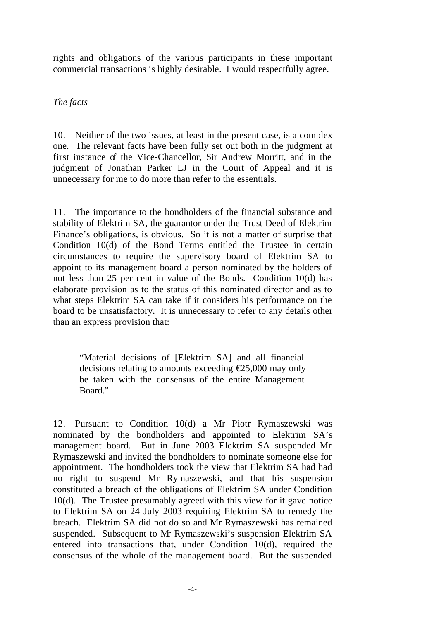rights and obligations of the various participants in these important commercial transactions is highly desirable. I would respectfully agree.

#### *The facts*

10. Neither of the two issues, at least in the present case, is a complex one. The relevant facts have been fully set out both in the judgment at first instance of the Vice-Chancellor, Sir Andrew Morritt, and in the judgment of Jonathan Parker LJ in the Court of Appeal and it is unnecessary for me to do more than refer to the essentials.

11. The importance to the bondholders of the financial substance and stability of Elektrim SA, the guarantor under the Trust Deed of Elektrim Finance's obligations, is obvious. So it is not a matter of surprise that Condition 10(d) of the Bond Terms entitled the Trustee in certain circumstances to require the supervisory board of Elektrim SA to appoint to its management board a person nominated by the holders of not less than 25 per cent in value of the Bonds. Condition 10(d) has elaborate provision as to the status of this nominated director and as to what steps Elektrim SA can take if it considers his performance on the board to be unsatisfactory. It is unnecessary to refer to any details other than an express provision that:

"Material decisions of [Elektrim SA] and all financial decisions relating to amounts exceeding  $E$ 5,000 may only be taken with the consensus of the entire Management Board."

12. Pursuant to Condition 10(d) a Mr Piotr Rymaszewski was nominated by the bondholders and appointed to Elektrim SA's management board. But in June 2003 Elektrim SA suspended Mr Rymaszewski and invited the bondholders to nominate someone else for appointment. The bondholders took the view that Elektrim SA had had no right to suspend Mr Rymaszewski, and that his suspension constituted a breach of the obligations of Elektrim SA under Condition 10(d). The Trustee presumably agreed with this view for it gave notice to Elektrim SA on 24 July 2003 requiring Elektrim SA to remedy the breach. Elektrim SA did not do so and Mr Rymaszewski has remained suspended. Subsequent to Mr Rymaszewski's suspension Elektrim SA entered into transactions that, under Condition 10(d), required the consensus of the whole of the management board. But the suspended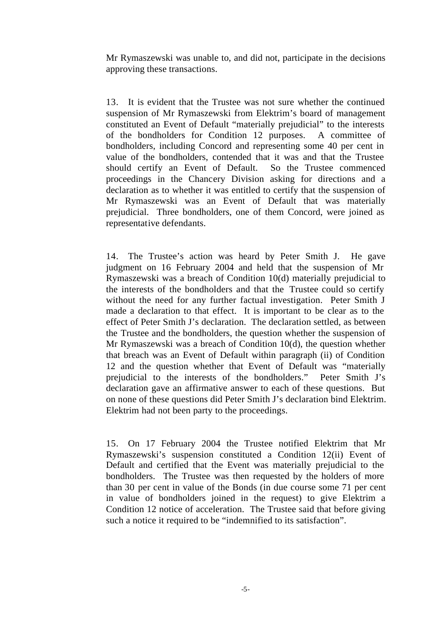Mr Rymaszewski was unable to, and did not, participate in the decisions approving these transactions.

13. It is evident that the Trustee was not sure whether the continued suspension of Mr Rymaszewski from Elektrim's board of management constituted an Event of Default "materially prejudicial" to the interests of the bondholders for Condition 12 purposes. A committee of bondholders, including Concord and representing some 40 per cent in value of the bondholders, contended that it was and that the Trustee should certify an Event of Default. So the Trustee commenced proceedings in the Chancery Division asking for directions and a declaration as to whether it was entitled to certify that the suspension of Mr Rymaszewski was an Event of Default that was materially prejudicial. Three bondholders, one of them Concord, were joined as representative defendants.

14. The Trustee's action was heard by Peter Smith J. He gave judgment on 16 February 2004 and held that the suspension of Mr Rymaszewski was a breach of Condition 10(d) materially prejudicial to the interests of the bondholders and that the Trustee could so certify without the need for any further factual investigation. Peter Smith J made a declaration to that effect. It is important to be clear as to the effect of Peter Smith J's declaration. The declaration settled, as between the Trustee and the bondholders, the question whether the suspension of Mr Rymaszewski was a breach of Condition 10(d), the question whether that breach was an Event of Default within paragraph (ii) of Condition 12 and the question whether that Event of Default was "materially prejudicial to the interests of the bondholders." Peter Smith J's declaration gave an affirmative answer to each of these questions. But on none of these questions did Peter Smith J's declaration bind Elektrim. Elektrim had not been party to the proceedings.

15. On 17 February 2004 the Trustee notified Elektrim that Mr Rymaszewski's suspension constituted a Condition 12(ii) Event of Default and certified that the Event was materially prejudicial to the bondholders. The Trustee was then requested by the holders of more than 30 per cent in value of the Bonds (in due course some 71 per cent in value of bondholders joined in the request) to give Elektrim a Condition 12 notice of acceleration. The Trustee said that before giving such a notice it required to be "indemnified to its satisfaction".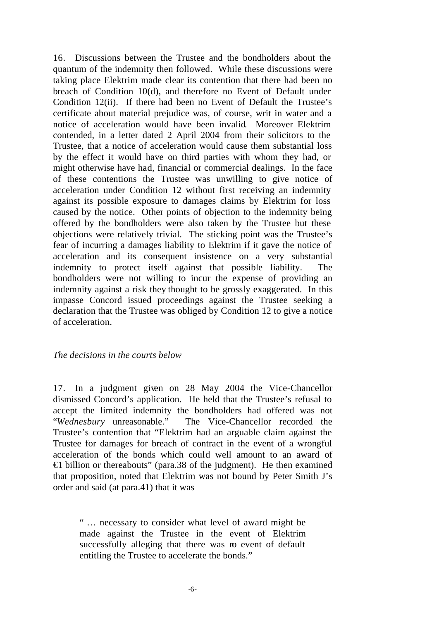16. Discussions between the Trustee and the bondholders about the quantum of the indemnity then followed. While these discussions were taking place Elektrim made clear its contention that there had been no breach of Condition 10(d), and therefore no Event of Default under Condition 12(ii). If there had been no Event of Default the Trustee's certificate about material prejudice was, of course, writ in water and a notice of acceleration would have been invalid. Moreover Elektrim contended, in a letter dated 2 April 2004 from their solicitors to the Trustee, that a notice of acceleration would cause them substantial loss by the effect it would have on third parties with whom they had, or might otherwise have had, financial or commercial dealings. In the face of these contentions the Trustee was unwilling to give notice of acceleration under Condition 12 without first receiving an indemnity against its possible exposure to damages claims by Elektrim for loss caused by the notice. Other points of objection to the indemnity being offered by the bondholders were also taken by the Trustee but these objections were relatively trivial. The sticking point was the Trustee's fear of incurring a damages liability to Elektrim if it gave the notice of acceleration and its consequent insistence on a very substantial indemnity to protect itself against that possible liability. The bondholders were not willing to incur the expense of providing an indemnity against a risk they thought to be grossly exaggerated. In this impasse Concord issued proceedings against the Trustee seeking a declaration that the Trustee was obliged by Condition 12 to give a notice of acceleration.

#### *The decisions in the courts below*

17. In a judgment given on 28 May 2004 the Vice-Chancellor dismissed Concord's application. He held that the Trustee's refusal to accept the limited indemnity the bondholders had offered was not "*Wednesbury* unreasonable." The Vice-Chancellor recorded the Trustee's contention that "Elektrim had an arguable claim against the Trustee for damages for breach of contract in the event of a wrongful acceleration of the bonds which could well amount to an award of €1 billion or thereabouts" (para.38 of the judgment). He then examined that proposition, noted that Elektrim was not bound by Peter Smith J's order and said (at para.41) that it was

" … necessary to consider what level of award might be made against the Trustee in the event of Elektrim successfully alleging that there was m event of default entitling the Trustee to accelerate the bonds."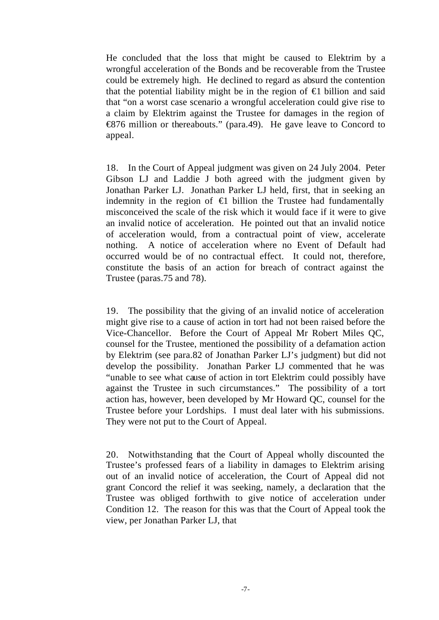He concluded that the loss that might be caused to Elektrim by a wrongful acceleration of the Bonds and be recoverable from the Trustee could be extremely high. He declined to regard as absurd the contention that the potential liability might be in the region of  $\epsilon$  billion and said that "on a worst case scenario a wrongful acceleration could give rise to a claim by Elektrim against the Trustee for damages in the region of €876 million or thereabouts." (para.49). He gave leave to Concord to appeal.

18. In the Court of Appeal judgment was given on 24 July 2004. Peter Gibson LJ and Laddie J both agreed with the judgment given by Jonathan Parker LJ. Jonathan Parker LJ held, first, that in seeking an indemnity in the region of  $\in$  billion the Trustee had fundamentally misconceived the scale of the risk which it would face if it were to give an invalid notice of acceleration. He pointed out that an invalid notice of acceleration would, from a contractual point of view, accelerate nothing. A notice of acceleration where no Event of Default had occurred would be of no contractual effect. It could not, therefore, constitute the basis of an action for breach of contract against the Trustee (paras.75 and 78).

19. The possibility that the giving of an invalid notice of acceleration might give rise to a cause of action in tort had not been raised before the Vice-Chancellor. Before the Court of Appeal Mr Robert Miles QC, counsel for the Trustee, mentioned the possibility of a defamation action by Elektrim (see para.82 of Jonathan Parker LJ's judgment) but did not develop the possibility. Jonathan Parker LJ commented that he was "unable to see what cause of action in tort Elektrim could possibly have against the Trustee in such circumstances." The possibility of a tort action has, however, been developed by Mr Howard QC, counsel for the Trustee before your Lordships. I must deal later with his submissions. They were not put to the Court of Appeal.

20. Notwithstanding that the Court of Appeal wholly discounted the Trustee's professed fears of a liability in damages to Elektrim arising out of an invalid notice of acceleration, the Court of Appeal did not grant Concord the relief it was seeking, namely, a declaration that the Trustee was obliged forthwith to give notice of acceleration under Condition 12. The reason for this was that the Court of Appeal took the view, per Jonathan Parker LJ, that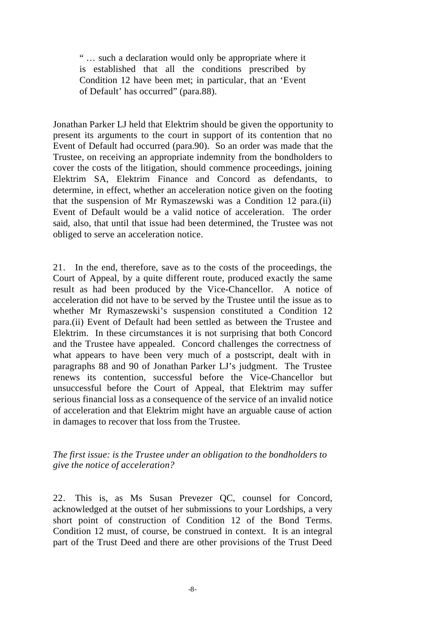" … such a declaration would only be appropriate where it is established that all the conditions prescribed by Condition 12 have been met; in particular, that an 'Event of Default' has occurred" (para.88).

Jonathan Parker LJ held that Elektrim should be given the opportunity to present its arguments to the court in support of its contention that no Event of Default had occurred (para.90). So an order was made that the Trustee, on receiving an appropriate indemnity from the bondholders to cover the costs of the litigation, should commence proceedings, joining Elektrim SA, Elektrim Finance and Concord as defendants, to determine, in effect, whether an acceleration notice given on the footing that the suspension of Mr Rymaszewski was a Condition 12 para.(ii) Event of Default would be a valid notice of acceleration. The order said, also, that until that issue had been determined, the Trustee was not obliged to serve an acceleration notice.

21. In the end, therefore, save as to the costs of the proceedings, the Court of Appeal, by a quite different route, produced exactly the same result as had been produced by the Vice-Chancellor. A notice of acceleration did not have to be served by the Trustee until the issue as to whether Mr Rymaszewski's suspension constituted a Condition 12 para.(ii) Event of Default had been settled as between the Trustee and Elektrim. In these circumstances it is not surprising that both Concord and the Trustee have appealed. Concord challenges the correctness of what appears to have been very much of a postscript, dealt with in paragraphs 88 and 90 of Jonathan Parker LJ's judgment. The Trustee renews its contention, successful before the Vice-Chancellor but unsuccessful before the Court of Appeal, that Elektrim may suffer serious financial loss as a consequence of the service of an invalid notice of acceleration and that Elektrim might have an arguable cause of action in damages to recover that loss from the Trustee.

#### *The first issue: is the Trustee under an obligation to the bondholders to give the notice of acceleration?*

22. This is, as Ms Susan Prevezer QC, counsel for Concord, acknowledged at the outset of her submissions to your Lordships, a very short point of construction of Condition 12 of the Bond Terms. Condition 12 must, of course, be construed in context. It is an integral part of the Trust Deed and there are other provisions of the Trust Deed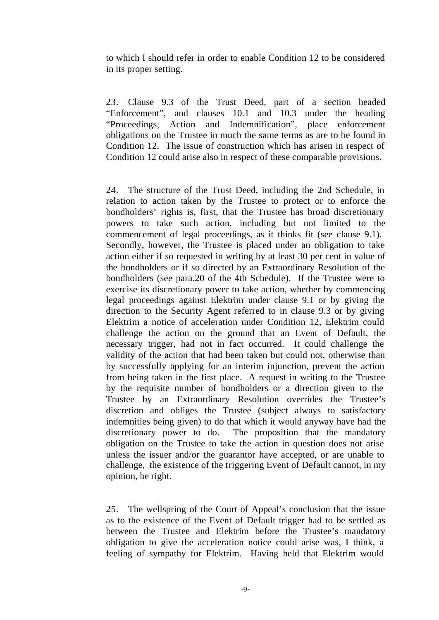to which I should refer in order to enable Condition 12 to be considered in its proper setting.

23. Clause 9.3 of the Trust Deed, part of a section headed "Enforcement", and clauses 10.1 and 10.3 under the heading "Proceedings, Action and Indemnification", place enforcement obligations on the Trustee in much the same terms as are to be found in Condition 12. The issue of construction which has arisen in respect of Condition 12 could arise also in respect of these comparable provisions.

24. The structure of the Trust Deed, including the 2nd Schedule, in relation to action taken by the Trustee to protect or to enforce the bondholders' rights is, first, that the Trustee has broad discretionary powers to take such action, including but not limited to the commencement of legal proceedings, as it thinks fit (see clause 9.1). Secondly, however, the Trustee is placed under an obligation to take action either if so requested in writing by at least 30 per cent in value of the bondholders or if so directed by an Extraordinary Resolution of the bondholders (see para.20 of the 4th Schedule). If the Trustee were to exercise its discretionary power to take action, whether by commencing legal proceedings against Elektrim under clause 9.1 or by giving the direction to the Security Agent referred to in clause 9.3 or by giving Elektrim a notice of acceleration under Condition 12, Elektrim could challenge the action on the ground that an Event of Default, the necessary trigger, had not in fact occurred. It could challenge the validity of the action that had been taken but could not, otherwise than by successfully applying for an interim injunction, prevent the action from being taken in the first place. A request in writing to the Trustee by the requisite number of bondholders or a direction given to the Trustee by an Extraordinary Resolution overrides the Trustee's discretion and obliges the Trustee (subject always to satisfactory indemnities being given) to do that which it would anyway have had the discretionary power to do. The proposition that the mandatory obligation on the Trustee to take the action in question does not arise unless the issuer and/or the guarantor have accepted, or are unable to challenge, the existence of the triggering Event of Default cannot, in my opinion, be right.

25. The wellspring of the Court of Appeal's conclusion that the issue as to the existence of the Event of Default trigger had to be settled as between the Trustee and Elektrim before the Trustee's mandatory obligation to give the acceleration notice could arise was, I think, a feeling of sympathy for Elektrim. Having held that Elektrim would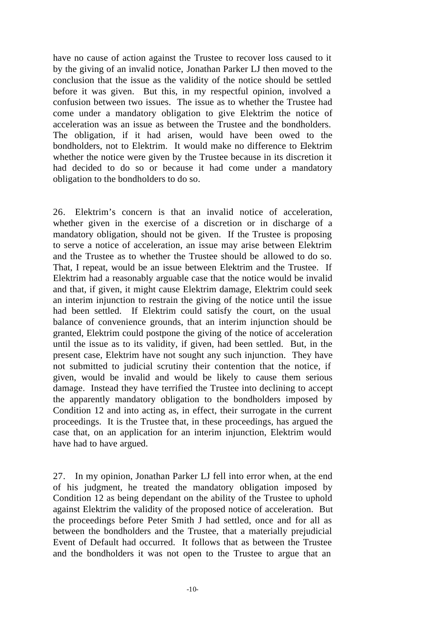have no cause of action against the Trustee to recover loss caused to it by the giving of an invalid notice, Jonathan Parker LJ then moved to the conclusion that the issue as the validity of the notice should be settled before it was given. But this, in my respectful opinion, involved a confusion between two issues. The issue as to whether the Trustee had come under a mandatory obligation to give Elektrim the notice of acceleration was an issue as between the Trustee and the bondholders. The obligation, if it had arisen, would have been owed to the bondholders, not to Elektrim. It would make no difference to Elektrim whether the notice were given by the Trustee because in its discretion it had decided to do so or because it had come under a mandatory obligation to the bondholders to do so.

26. Elektrim's concern is that an invalid notice of acceleration, whether given in the exercise of a discretion or in discharge of a mandatory obligation, should not be given. If the Trustee is proposing to serve a notice of acceleration, an issue may arise between Elektrim and the Trustee as to whether the Trustee should be allowed to do so. That, I repeat, would be an issue between Elektrim and the Trustee. If Elektrim had a reasonably arguable case that the notice would be invalid and that, if given, it might cause Elektrim damage, Elektrim could seek an interim injunction to restrain the giving of the notice until the issue had been settled. If Elektrim could satisfy the court, on the usual balance of convenience grounds, that an interim injunction should be granted, Elektrim could postpone the giving of the notice of acceleration until the issue as to its validity, if given, had been settled. But, in the present case, Elektrim have not sought any such injunction. They have not submitted to judicial scrutiny their contention that the notice, if given, would be invalid and would be likely to cause them serious damage. Instead they have terrified the Trustee into declining to accept the apparently mandatory obligation to the bondholders imposed by Condition 12 and into acting as, in effect, their surrogate in the current proceedings. It is the Trustee that, in these proceedings, has argued the case that, on an application for an interim injunction, Elektrim would have had to have argued.

27. In my opinion, Jonathan Parker LJ fell into error when, at the end of his judgment, he treated the mandatory obligation imposed by Condition 12 as being dependant on the ability of the Trustee to uphold against Elektrim the validity of the proposed notice of acceleration. But the proceedings before Peter Smith J had settled, once and for all as between the bondholders and the Trustee, that a materially prejudicial Event of Default had occurred. It follows that as between the Trustee and the bondholders it was not open to the Trustee to argue that an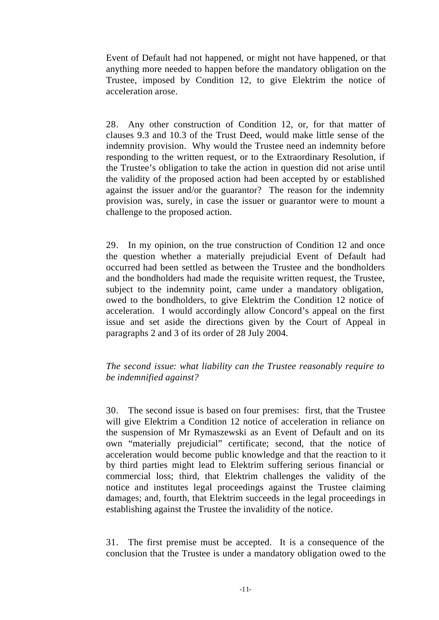Event of Default had not happened, or might not have happened, or that anything more needed to happen before the mandatory obligation on the Trustee, imposed by Condition 12, to give Elektrim the notice of acceleration arose.

28. Any other construction of Condition 12, or, for that matter of clauses 9.3 and 10.3 of the Trust Deed, would make little sense of the indemnity provision. Why would the Trustee need an indemnity before responding to the written request, or to the Extraordinary Resolution, if the Trustee's obligation to take the action in question did not arise until the validity of the proposed action had been accepted by or established against the issuer and/or the guarantor? The reason for the indemnity provision was, surely, in case the issuer or guarantor were to mount a challenge to the proposed action.

29. In my opinion, on the true construction of Condition 12 and once the question whether a materially prejudicial Event of Default had occurred had been settled as between the Trustee and the bondholders and the bondholders had made the requisite written request, the Trustee, subject to the indemnity point, came under a mandatory obligation, owed to the bondholders, to give Elektrim the Condition 12 notice of acceleration. I would accordingly allow Concord's appeal on the first issue and set aside the directions given by the Court of Appeal in paragraphs 2 and 3 of its order of 28 July 2004.

#### *The second issue: what liability can the Trustee reasonably require to be indemnified against?*

30. The second issue is based on four premises: first, that the Trustee will give Elektrim a Condition 12 notice of acceleration in reliance on the suspension of Mr Rymaszewski as an Event of Default and on its own "materially prejudicial" certificate; second, that the notice of acceleration would become public knowledge and that the reaction to it by third parties might lead to Elektrim suffering serious financial or commercial loss; third, that Elektrim challenges the validity of the notice and institutes legal proceedings against the Trustee claiming damages; and, fourth, that Elektrim succeeds in the legal proceedings in establishing against the Trustee the invalidity of the notice.

31. The first premise must be accepted. It is a consequence of the conclusion that the Trustee is under a mandatory obligation owed to the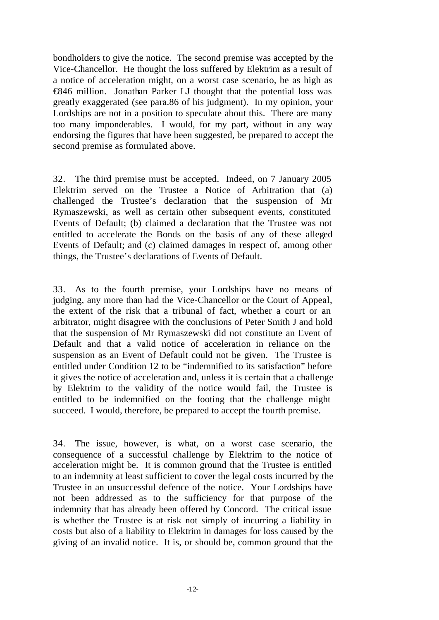bondholders to give the notice. The second premise was accepted by the Vice-Chancellor. He thought the loss suffered by Elektrim as a result of a notice of acceleration might, on a worst case scenario, be as high as €846 million. Jonathan Parker LJ thought that the potential loss was greatly exaggerated (see para.86 of his judgment). In my opinion, your Lordships are not in a position to speculate about this. There are many too many imponderables. I would, for my part, without in any way endorsing the figures that have been suggested, be prepared to accept the second premise as formulated above.

32. The third premise must be accepted. Indeed, on 7 January 2005 Elektrim served on the Trustee a Notice of Arbitration that (a) challenged the Trustee's declaration that the suspension of Mr Rymaszewski, as well as certain other subsequent events, constituted Events of Default; (b) claimed a declaration that the Trustee was not entitled to accelerate the Bonds on the basis of any of these alleged Events of Default; and (c) claimed damages in respect of, among other things, the Trustee's declarations of Events of Default.

33. As to the fourth premise, your Lordships have no means of judging, any more than had the Vice-Chancellor or the Court of Appeal, the extent of the risk that a tribunal of fact, whether a court or an arbitrator, might disagree with the conclusions of Peter Smith J and hold that the suspension of Mr Rymaszewski did not constitute an Event of Default and that a valid notice of acceleration in reliance on the suspension as an Event of Default could not be given. The Trustee is entitled under Condition 12 to be "indemnified to its satisfaction" before it gives the notice of acceleration and, unless it is certain that a challenge by Elektrim to the validity of the notice would fail, the Trustee is entitled to be indemnified on the footing that the challenge might succeed. I would, therefore, be prepared to accept the fourth premise.

34. The issue, however, is what, on a worst case scenario, the consequence of a successful challenge by Elektrim to the notice of acceleration might be. It is common ground that the Trustee is entitled to an indemnity at least sufficient to cover the legal costs incurred by the Trustee in an unsuccessful defence of the notice. Your Lordships have not been addressed as to the sufficiency for that purpose of the indemnity that has already been offered by Concord. The critical issue is whether the Trustee is at risk not simply of incurring a liability in costs but also of a liability to Elektrim in damages for loss caused by the giving of an invalid notice. It is, or should be, common ground that the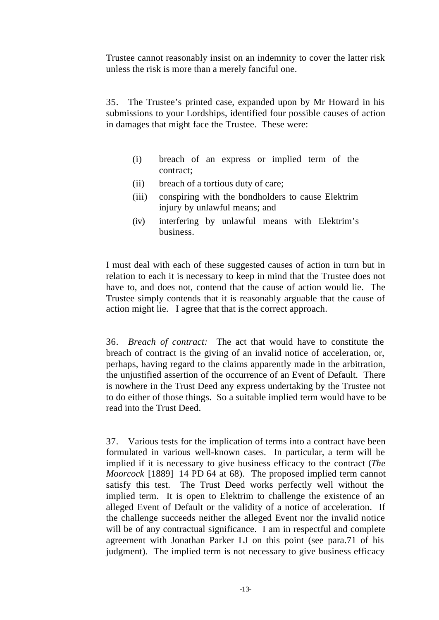Trustee cannot reasonably insist on an indemnity to cover the latter risk unless the risk is more than a merely fanciful one.

35. The Trustee's printed case, expanded upon by Mr Howard in his submissions to your Lordships, identified four possible causes of action in damages that might face the Trustee. These were:

- (i) breach of an express or implied term of the contract;
- (ii) breach of a tortious duty of care;
- (iii) conspiring with the bondholders to cause Elektrim injury by unlawful means; and
- (iv) interfering by unlawful means with Elektrim's business.

I must deal with each of these suggested causes of action in turn but in relation to each it is necessary to keep in mind that the Trustee does not have to, and does not, contend that the cause of action would lie. The Trustee simply contends that it is reasonably arguable that the cause of action might lie. I agree that that is the correct approach.

36. *Breach of contract:* The act that would have to constitute the breach of contract is the giving of an invalid notice of acceleration, or, perhaps, having regard to the claims apparently made in the arbitration, the unjustified assertion of the occurrence of an Event of Default. There is nowhere in the Trust Deed any express undertaking by the Trustee not to do either of those things. So a suitable implied term would have to be read into the Trust Deed.

37. Various tests for the implication of terms into a contract have been formulated in various well-known cases. In particular, a term will be implied if it is necessary to give business efficacy to the contract (*The Moorcock* [1889] 14 PD 64 at 68). The proposed implied term cannot satisfy this test. The Trust Deed works perfectly well without the implied term. It is open to Elektrim to challenge the existence of an alleged Event of Default or the validity of a notice of acceleration. If the challenge succeeds neither the alleged Event nor the invalid notice will be of any contractual significance. I am in respectful and complete agreement with Jonathan Parker LJ on this point (see para.71 of his judgment). The implied term is not necessary to give business efficacy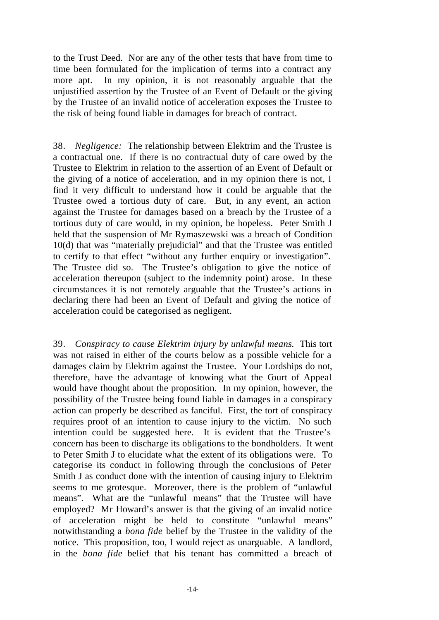to the Trust Deed. Nor are any of the other tests that have from time to time been formulated for the implication of terms into a contract any more apt. In my opinion, it is not reasonably arguable that the unjustified assertion by the Trustee of an Event of Default or the giving by the Trustee of an invalid notice of acceleration exposes the Trustee to the risk of being found liable in damages for breach of contract.

38. *Negligence:* The relationship between Elektrim and the Trustee is a contractual one. If there is no contractual duty of care owed by the Trustee to Elektrim in relation to the assertion of an Event of Default or the giving of a notice of acceleration, and in my opinion there is not, I find it very difficult to understand how it could be arguable that the Trustee owed a tortious duty of care. But, in any event, an action against the Trustee for damages based on a breach by the Trustee of a tortious duty of care would, in my opinion, be hopeless. Peter Smith J held that the suspension of Mr Rymaszewski was a breach of Condition 10(d) that was "materially prejudicial" and that the Trustee was entitled to certify to that effect "without any further enquiry or investigation". The Trustee did so. The Trustee's obligation to give the notice of acceleration thereupon (subject to the indemnity point) arose. In these circumstances it is not remotely arguable that the Trustee's actions in declaring there had been an Event of Default and giving the notice of acceleration could be categorised as negligent.

39. *Conspiracy to cause Elektrim injury by unlawful means.* This tort was not raised in either of the courts below as a possible vehicle for a damages claim by Elektrim against the Trustee. Your Lordships do not, therefore, have the advantage of knowing what the Court of Appeal would have thought about the proposition. In my opinion, however, the possibility of the Trustee being found liable in damages in a conspiracy action can properly be described as fanciful. First, the tort of conspiracy requires proof of an intention to cause injury to the victim. No such intention could be suggested here. It is evident that the Trustee's concern has been to discharge its obligations to the bondholders. It went to Peter Smith J to elucidate what the extent of its obligations were. To categorise its conduct in following through the conclusions of Peter Smith J as conduct done with the intention of causing injury to Elektrim seems to me grotesque. Moreover, there is the problem of "unlawful means". What are the "unlawful means" that the Trustee will have employed? Mr Howard's answer is that the giving of an invalid notice of acceleration might be held to constitute "unlawful means" notwithstanding a *bona fide* belief by the Trustee in the validity of the notice. This proposition, too, I would reject as unarguable. A landlord, in the *bona fide* belief that his tenant has committed a breach of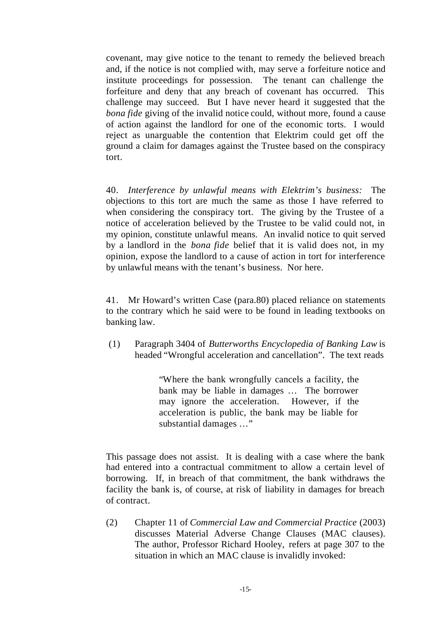covenant, may give notice to the tenant to remedy the believed breach and, if the notice is not complied with, may serve a forfeiture notice and institute proceedings for possession. The tenant can challenge the forfeiture and deny that any breach of covenant has occurred. This challenge may succeed. But I have never heard it suggested that the *bona fide* giving of the invalid notice could, without more, found a cause of action against the landlord for one of the economic torts. I would reject as unarguable the contention that Elektrim could get off the ground a claim for damages against the Trustee based on the conspiracy tort.

40. *Interference by unlawful means with Elektrim's business:* The objections to this tort are much the same as those I have referred to when considering the conspiracy tort. The giving by the Trustee of a notice of acceleration believed by the Trustee to be valid could not, in my opinion, constitute unlawful means. An invalid notice to quit served by a landlord in the *bona fide* belief that it is valid does not, in my opinion, expose the landlord to a cause of action in tort for interference by unlawful means with the tenant's business. Nor here.

41. Mr Howard's written Case (para.80) placed reliance on statements to the contrary which he said were to be found in leading textbooks on banking law.

(1) Paragraph 3404 of *Butterworths Encyclopedia of Banking Law* is headed "Wrongful acceleration and cancellation". The text reads

> "Where the bank wrongfully cancels a facility, the bank may be liable in damages … The borrower may ignore the acceleration. However, if the acceleration is public, the bank may be liable for substantial damages …"

This passage does not assist. It is dealing with a case where the bank had entered into a contractual commitment to allow a certain level of borrowing. If, in breach of that commitment, the bank withdraws the facility the bank is, of course, at risk of liability in damages for breach of contract.

(2) Chapter 11 of *Commercial Law and Commercial Practice* (2003) discusses Material Adverse Change Clauses (MAC clauses). The author, Professor Richard Hooley, refers at page 307 to the situation in which an MAC clause is invalidly invoked: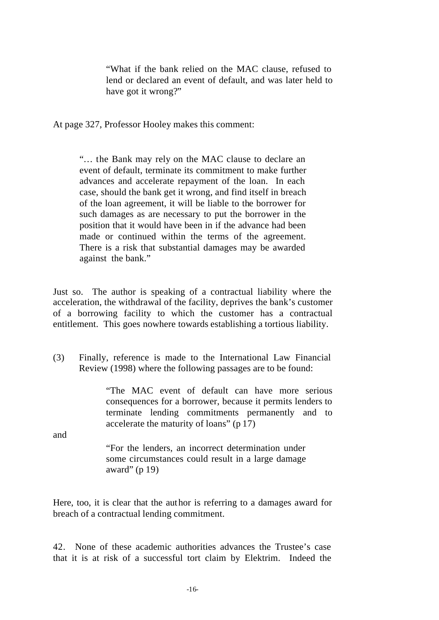"What if the bank relied on the MAC clause, refused to lend or declared an event of default, and was later held to have got it wrong?"

At page 327, Professor Hooley makes this comment:

"… the Bank may rely on the MAC clause to declare an event of default, terminate its commitment to make further advances and accelerate repayment of the loan. In each case, should the bank get it wrong, and find itself in breach of the loan agreement, it will be liable to the borrower for such damages as are necessary to put the borrower in the position that it would have been in if the advance had been made or continued within the terms of the agreement. There is a risk that substantial damages may be awarded against the bank."

Just so. The author is speaking of a contractual liability where the acceleration, the withdrawal of the facility, deprives the bank's customer of a borrowing facility to which the customer has a contractual entitlement. This goes nowhere towards establishing a tortious liability.

(3) Finally, reference is made to the International Law Financial Review (1998) where the following passages are to be found:

> "The MAC event of default can have more serious consequences for a borrower, because it permits lenders to terminate lending commitments permanently and to accelerate the maturity of loans" (p 17)

and

"For the lenders, an incorrect determination under some circumstances could result in a large damage award" (p 19)

Here, too, it is clear that the author is referring to a damages award for breach of a contractual lending commitment.

42. None of these academic authorities advances the Trustee's case that it is at risk of a successful tort claim by Elektrim. Indeed the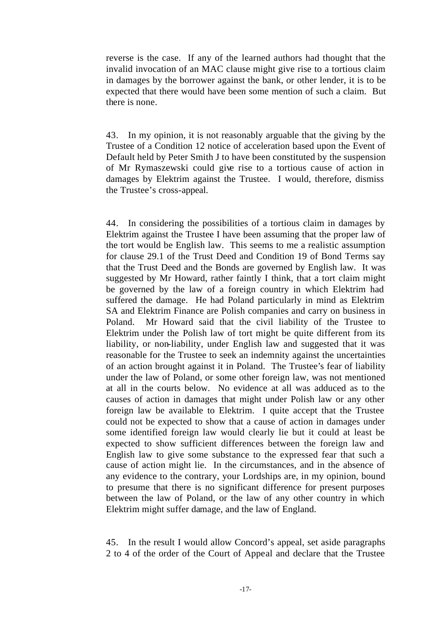reverse is the case. If any of the learned authors had thought that the invalid invocation of an MAC clause might give rise to a tortious claim in damages by the borrower against the bank, or other lender, it is to be expected that there would have been some mention of such a claim. But there is none.

43. In my opinion, it is not reasonably arguable that the giving by the Trustee of a Condition 12 notice of acceleration based upon the Event of Default held by Peter Smith J to have been constituted by the suspension of Mr Rymaszewski could give rise to a tortious cause of action in damages by Elektrim against the Trustee. I would, therefore, dismiss the Trustee's cross-appeal.

44. In considering the possibilities of a tortious claim in damages by Elektrim against the Trustee I have been assuming that the proper law of the tort would be English law. This seems to me a realistic assumption for clause 29.1 of the Trust Deed and Condition 19 of Bond Terms say that the Trust Deed and the Bonds are governed by English law. It was suggested by Mr Howard, rather faintly I think, that a tort claim might be governed by the law of a foreign country in which Elektrim had suffered the damage. He had Poland particularly in mind as Elektrim SA and Elektrim Finance are Polish companies and carry on business in Poland. Mr Howard said that the civil liability of the Trustee to Elektrim under the Polish law of tort might be quite different from its liability, or non-liability, under English law and suggested that it was reasonable for the Trustee to seek an indemnity against the uncertainties of an action brought against it in Poland. The Trustee's fear of liability under the law of Poland, or some other foreign law, was not mentioned at all in the courts below. No evidence at all was adduced as to the causes of action in damages that might under Polish law or any other foreign law be available to Elektrim. I quite accept that the Trustee could not be expected to show that a cause of action in damages under some identified foreign law would clearly lie but it could at least be expected to show sufficient differences between the foreign law and English law to give some substance to the expressed fear that such a cause of action might lie. In the circumstances, and in the absence of any evidence to the contrary, your Lordships are, in my opinion, bound to presume that there is no significant difference for present purposes between the law of Poland, or the law of any other country in which Elektrim might suffer damage, and the law of England.

45. In the result I would allow Concord's appeal, set aside paragraphs 2 to 4 of the order of the Court of Appeal and declare that the Trustee